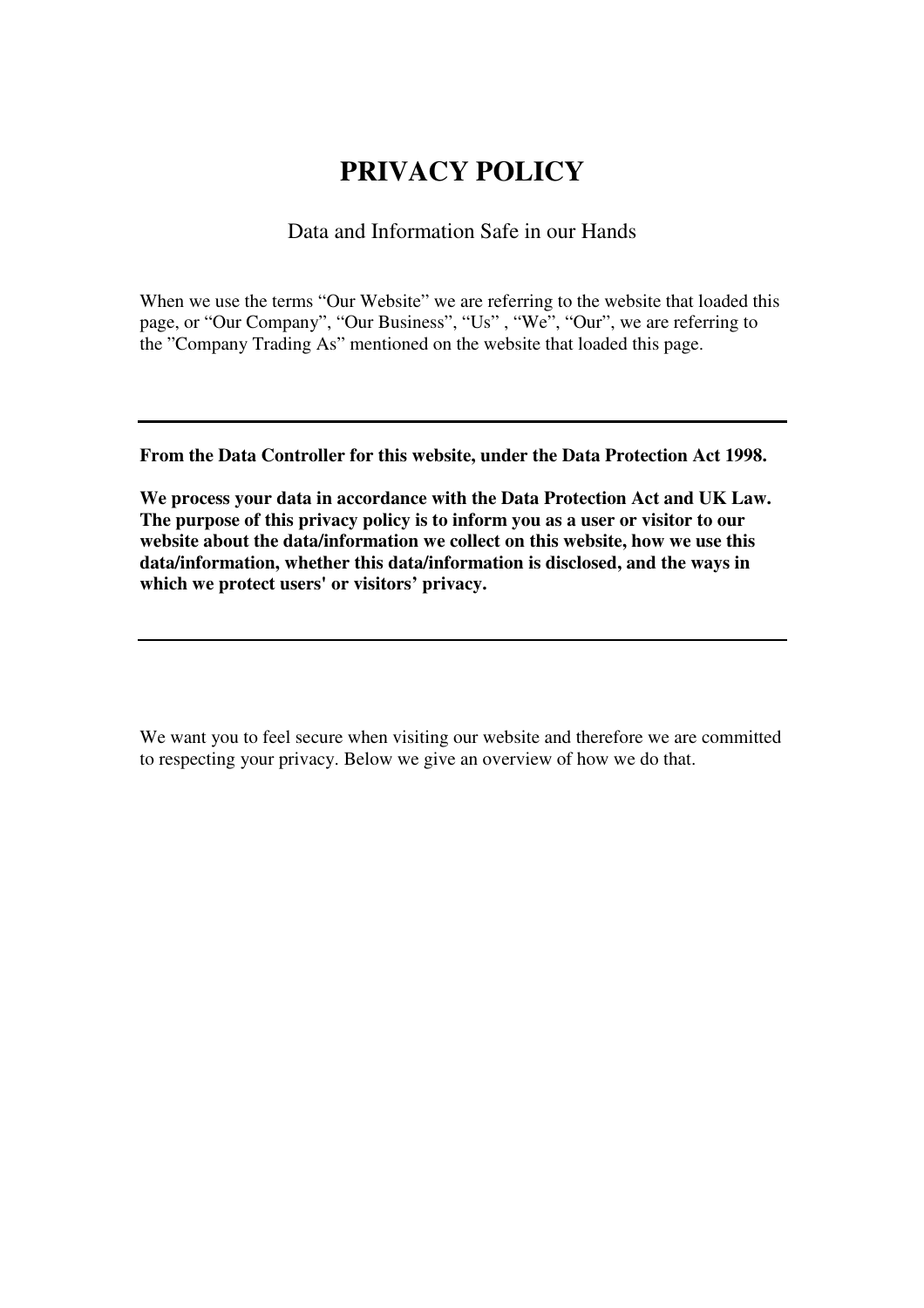# **PRIVACY POLICY**

## Data and Information Safe in our Hands

When we use the terms "Our Website" we are referring to the website that loaded this page, or "Our Company", "Our Business", "Us" , "We", "Our", we are referring to the "Company Trading As" mentioned on the website that loaded this page.

**From the Data Controller for this website, under the Data Protection Act 1998.** 

**We process your data in accordance with the Data Protection Act and UK Law. The purpose of this privacy policy is to inform you as a user or visitor to our**  website about the data/information we collect on this website, how we use this **data/information, whether this data/information is disclosed, and the ways in which we protect users' or visitors' privacy.** 

We want you to feel secure when visiting our website and therefore we are committed to respecting your privacy. Below we give an overview of how we do that.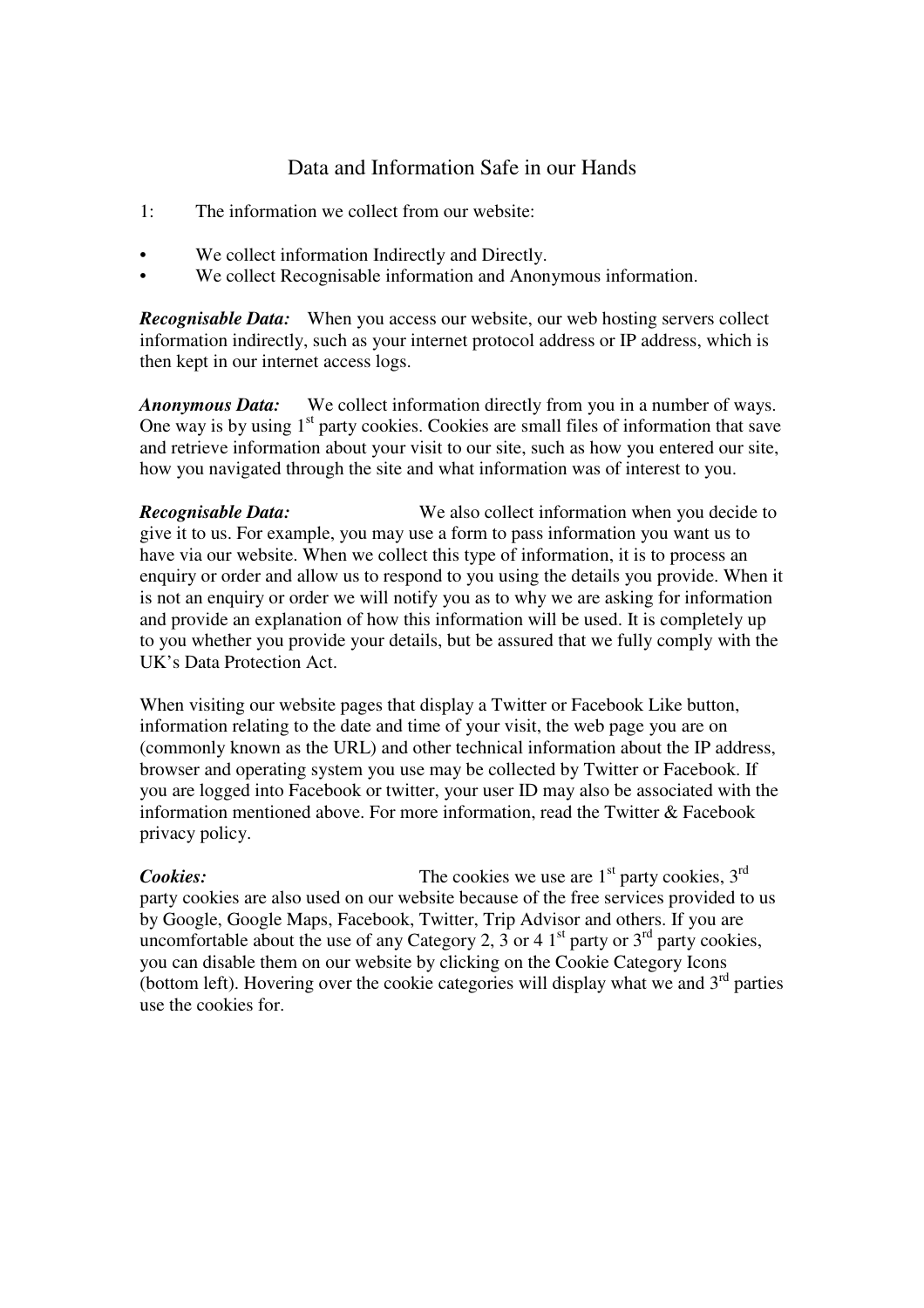# Data and Information Safe in our Hands

- 1: The information we collect from our website:
- We collect information Indirectly and Directly.
- We collect Recognisable information and Anonymous information.

*Recognisable Data:* When you access our website, our web hosting servers collect information indirectly, such as your internet protocol address or IP address, which is then kept in our internet access logs.

*Anonymous Data:* We collect information directly from you in a number of ways. One way is by using  $1<sup>st</sup>$  party cookies. Cookies are small files of information that save and retrieve information about your visit to our site, such as how you entered our site, how you navigated through the site and what information was of interest to you.

*Recognisable Data:* We also collect information when you decide to give it to us. For example, you may use a form to pass information you want us to have via our website. When we collect this type of information, it is to process an enquiry or order and allow us to respond to you using the details you provide. When it is not an enquiry or order we will notify you as to why we are asking for information and provide an explanation of how this information will be used. It is completely up to you whether you provide your details, but be assured that we fully comply with the UK's Data Protection Act.

When visiting our website pages that display a Twitter or Facebook Like button, information relating to the date and time of your visit, the web page you are on (commonly known as the URL) and other technical information about the IP address, browser and operating system you use may be collected by Twitter or Facebook. If you are logged into Facebook or twitter, your user ID may also be associated with the information mentioned above. For more information, read the Twitter & Facebook privacy policy.

**Cookies:** The cookies we use are 1<sup>st</sup> party cookies, 3<sup>rd</sup> party cookies are also used on our website because of the free services provided to us by Google, Google Maps, Facebook, Twitter, Trip Advisor and others. If you are uncomfortable about the use of any Category 2,  $\overline{3}$  or 4 1<sup>st</sup> party or  $3^{rd}$  party cookies, you can disable them on our website by clicking on the Cookie Category Icons (bottom left). Hovering over the cookie categories will display what we and  $3<sup>rd</sup>$  parties use the cookies for.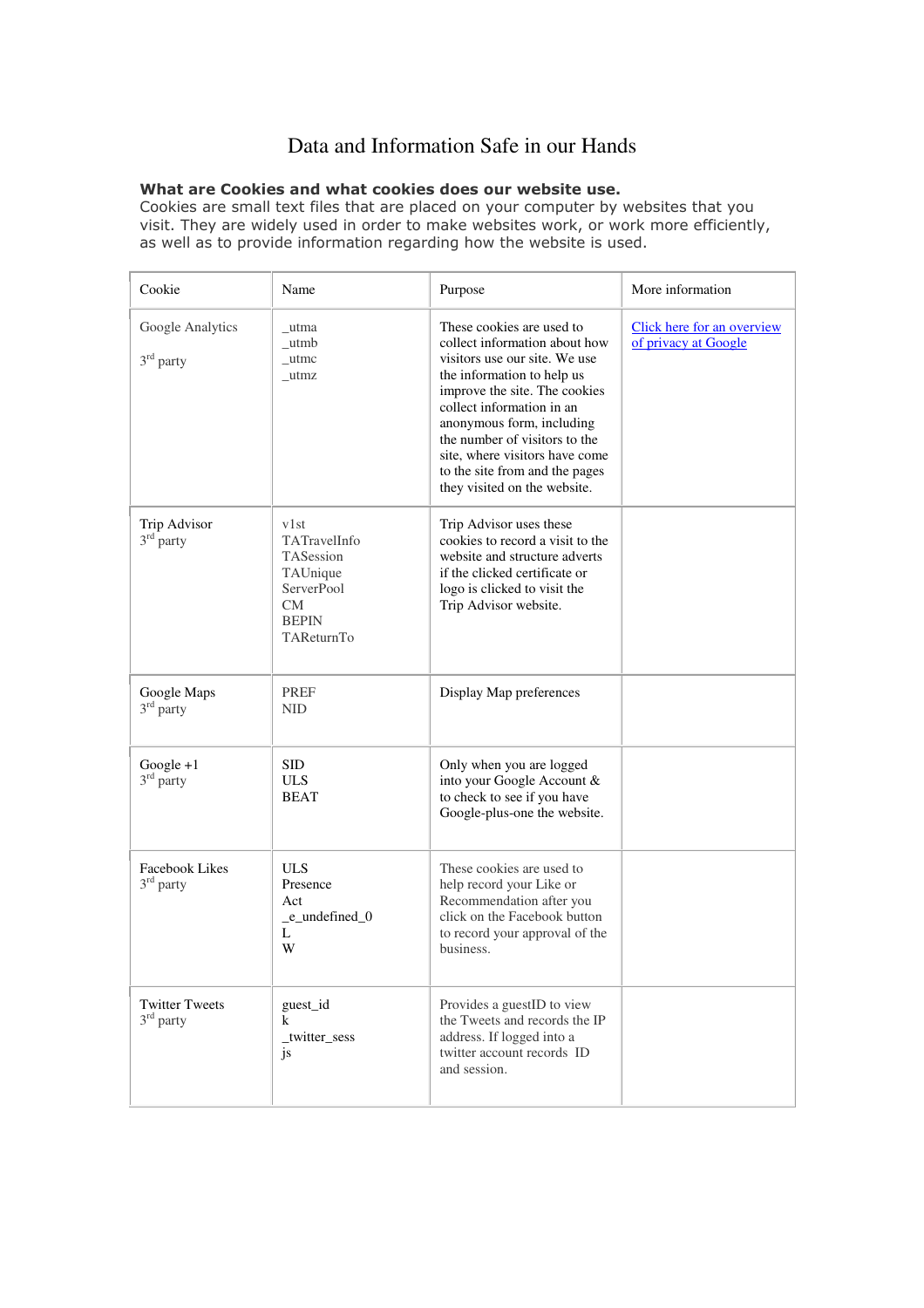# Data and Information Safe in our Hands

#### What are Cookies and what cookies does our website use.

Cookies are small text files that are placed on your computer by websites that you visit. They are widely used in order to make websites work, or work more efficiently, as well as to provide information regarding how the website is used.

| Cookie                                      | Name                                                                                                   | Purpose                                                                                                                                                                                                                                                                                                                                                   | More information                                   |
|---------------------------------------------|--------------------------------------------------------------------------------------------------------|-----------------------------------------------------------------------------------------------------------------------------------------------------------------------------------------------------------------------------------------------------------------------------------------------------------------------------------------------------------|----------------------------------------------------|
| Google Analytics<br>$3rd$ party             | _utma<br>utmb<br>$_{\text{u$ tmc}}<br>_utmz                                                            | These cookies are used to<br>collect information about how<br>visitors use our site. We use<br>the information to help us<br>improve the site. The cookies<br>collect information in an<br>anonymous form, including<br>the number of visitors to the<br>site, where visitors have come<br>to the site from and the pages<br>they visited on the website. | Click here for an overview<br>of privacy at Google |
| Trip Advisor<br>$3rd$ party                 | v1st<br>TATravelInfo<br>TASession<br>TAUnique<br>ServerPool<br><b>CM</b><br><b>BEPIN</b><br>TAReturnTo | Trip Advisor uses these<br>cookies to record a visit to the<br>website and structure adverts<br>if the clicked certificate or<br>logo is clicked to visit the<br>Trip Advisor website.                                                                                                                                                                    |                                                    |
| Google Maps<br>$3rd$ party                  | <b>PREF</b><br><b>NID</b>                                                                              | Display Map preferences                                                                                                                                                                                                                                                                                                                                   |                                                    |
| $Google + 1$<br>$3rd$ party                 | <b>SID</b><br><b>ULS</b><br><b>BEAT</b>                                                                | Only when you are logged<br>into your Google Account &<br>to check to see if you have<br>Google-plus-one the website.                                                                                                                                                                                                                                     |                                                    |
| <b>Facebook Likes</b><br>$3^{\rm rd}$ party | <b>ULS</b><br>Presence<br>Act<br>_e_undefined_0<br>L<br>W                                              | These cookies are used to<br>help record your Like or<br>Recommendation after you<br>click on the Facebook button<br>to record your approval of the<br>business.                                                                                                                                                                                          |                                                    |
| <b>Twitter Tweets</b><br>$3rd$ party        | guest_id<br>k<br>twitter_sess<br>js                                                                    | Provides a guestID to view<br>the Tweets and records the IP<br>address. If logged into a<br>twitter account records ID<br>and session.                                                                                                                                                                                                                    |                                                    |